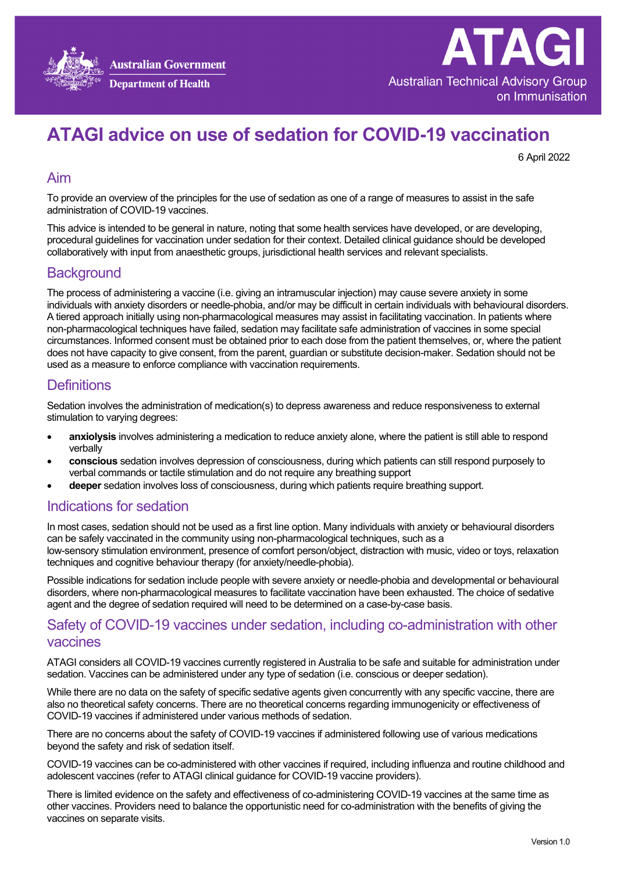



# **ATAGI advice on use of sedation for COVID-19 vaccination**

6 April 2022

#### Aim

To provide an overview of the principles for the use of sedation as one of a range of measures to assist in the safe administration of COVID-19 vaccines.

This advice is intended to be general in nature, noting that some health services have developed, or are developing, procedural guidelines for vaccination under sedation for their context. Detailed clinical guidance should be developed collaboratively with input from anaesthetic groups, jurisdictional health services and relevant specialists.

## **Background**

The process of administering a vaccine (i.e. giving an intramuscular injection) may cause severe anxiety in some individuals with anxiety disorders or needle-phobia, and/or may be difficult in certain individuals with behavioural disorders. A tiered approach initially using non-pharmacological measures may assist in facilitating vaccination. In patients where non-pharmacological techniques have failed, sedation may facilitate safe administration of vaccines in some special circumstances. Informed consent must be obtained prior to each dose from the patient themselves, or, where the patient does not have capacity to give consent, from the parent, guardian or substitute decision-maker. Sedation should not be used as a measure to enforce compliance with vaccination requirements.

## **Definitions**

Sedation involves the administration of medication(s) to depress awareness and reduce responsiveness to external stimulation to varying degrees:

- **anxiolysis** involves administering a medication to reduce anxiety alone, where the patient is still able to respond verbally
- **conscious** sedation involves depression of consciousness, during which patients can still respond purposely to verbal commands or tactile stimulation and do not require any breathing support
- **deeper** sedation involves loss of consciousness, during which patients require breathing support.

## Indications for sedation

In most cases, sedation should not be used as a first line option. Many individuals with anxiety or behavioural disorders can be safely vaccinated in the community using non-pharmacological techniques, such as a low-sensory stimulation environment, presence of comfort person/object, distraction with music, video or toys, relaxation techniques and cognitive behaviour therapy (for anxiety/needle-phobia).

Possible indications for sedation include people with severe anxiety or needle-phobia and developmental or behavioural disorders, where non-pharmacological measures to facilitate vaccination have been exhausted. The choice of sedative agent and the degree of sedation required will need to be determined on a case-by-case basis.

## Safety of COVID-19 vaccines under sedation, including co-administration with other vaccines

ATAGI considers all COVID-19 vaccines currently registered in Australia to be safe and suitable for administration under sedation. Vaccines can be administered under any type of sedation (i.e. conscious or deeper sedation).

While there are no data on the safety of specific sedative agents given concurrently with any specific vaccine, there are also no theoretical safety concerns. There are no theoretical concerns regarding immunogenicity or effectiveness of COVID-19 vaccines if administered under various methods of sedation.

There are no concerns about the safety of COVID-19 vaccines if administered following use of various medications beyond the safety and risk of sedation itself.

COVID-19 vaccines can be co-administered with other vaccines if required, including influenza and routine childhood and adolescent vaccines (refer to ATAGI [clinical guidance for COVID-19 vaccine providers\)](https://www.health.gov.au/initiatives-and-programs/covid-19-vaccines/advice-for-providers/clinical-guidance/clinical-recommendations).

There is limited evidence on the safety and effectiveness of co-administering COVID-19 vaccines at the same time as other vaccines. Providers need to balance the opportunistic need for co-administration with the benefits of giving the vaccines on separate visits.